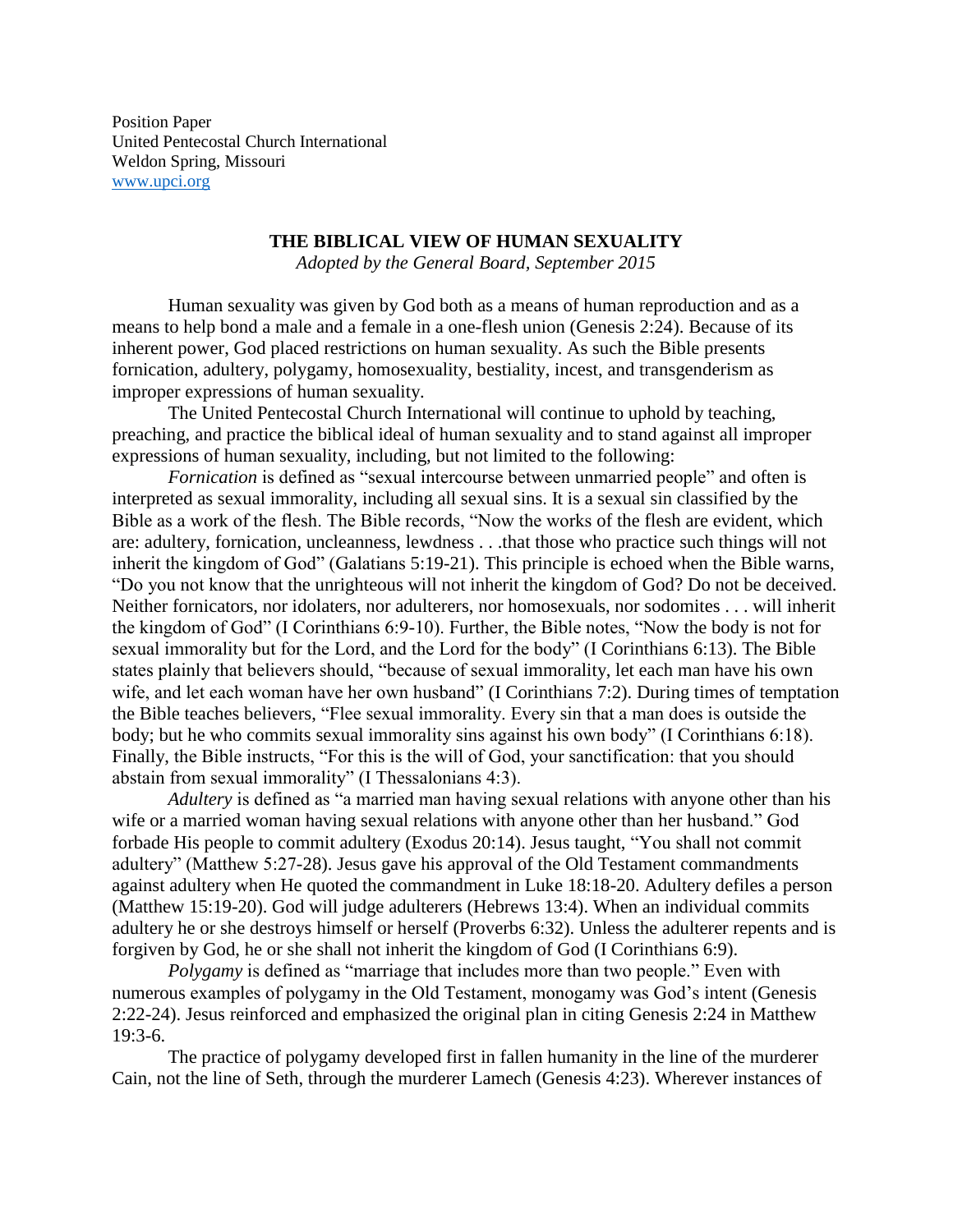Position Paper United Pentecostal Church International Weldon Spring, Missouri [www.upci.org](http://www.upci.org/)

## **THE BIBLICAL VIEW OF HUMAN SEXUALITY**

*Adopted by the General Board, September 2015*

Human sexuality was given by God both as a means of human reproduction and as a means to help bond a male and a female in a one-flesh union (Genesis 2:24). Because of its inherent power, God placed restrictions on human sexuality. As such the Bible presents fornication, adultery, polygamy, homosexuality, bestiality, incest, and transgenderism as improper expressions of human sexuality.

The United Pentecostal Church International will continue to uphold by teaching, preaching, and practice the biblical ideal of human sexuality and to stand against all improper expressions of human sexuality, including, but not limited to the following:

*Fornication* is defined as "sexual intercourse between unmarried people" and often is interpreted as sexual immorality, including all sexual sins. It is a sexual sin classified by the Bible as a work of the flesh. The Bible records, "Now the works of the flesh are evident, which are: adultery, fornication, uncleanness, lewdness . . .that those who practice such things will not inherit the kingdom of God" (Galatians 5:19-21). This principle is echoed when the Bible warns, "Do you not know that the unrighteous will not inherit the kingdom of God? Do not be deceived. Neither fornicators, nor idolaters, nor adulterers, nor homosexuals, nor sodomites . . . will inherit the kingdom of God" (I Corinthians 6:9-10). Further, the Bible notes, "Now the body is not for sexual immorality but for the Lord, and the Lord for the body" (I Corinthians 6:13). The Bible states plainly that believers should, "because of sexual immorality, let each man have his own wife, and let each woman have her own husband" (I Corinthians 7:2). During times of temptation the Bible teaches believers, "Flee sexual immorality. Every sin that a man does is outside the body; but he who commits sexual immorality sins against his own body" (I Corinthians 6:18). Finally, the Bible instructs, "For this is the will of God, your sanctification: that you should abstain from sexual immorality" (I Thessalonians 4:3).

*Adultery* is defined as "a married man having sexual relations with anyone other than his wife or a married woman having sexual relations with anyone other than her husband." God forbade His people to commit adultery (Exodus 20:14). Jesus taught, "You shall not commit adultery" (Matthew 5:27-28). Jesus gave his approval of the Old Testament commandments against adultery when He quoted the commandment in Luke 18:18-20. Adultery defiles a person (Matthew 15:19-20). God will judge adulterers (Hebrews 13:4). When an individual commits adultery he or she destroys himself or herself (Proverbs 6:32). Unless the adulterer repents and is forgiven by God, he or she shall not inherit the kingdom of God (I Corinthians 6:9).

*Polygamy* is defined as "marriage that includes more than two people." Even with numerous examples of polygamy in the Old Testament, monogamy was God's intent (Genesis 2:22-24). Jesus reinforced and emphasized the original plan in citing Genesis 2:24 in Matthew 19:3-6.

The practice of polygamy developed first in fallen humanity in the line of the murderer Cain, not the line of Seth, through the murderer Lamech (Genesis 4:23). Wherever instances of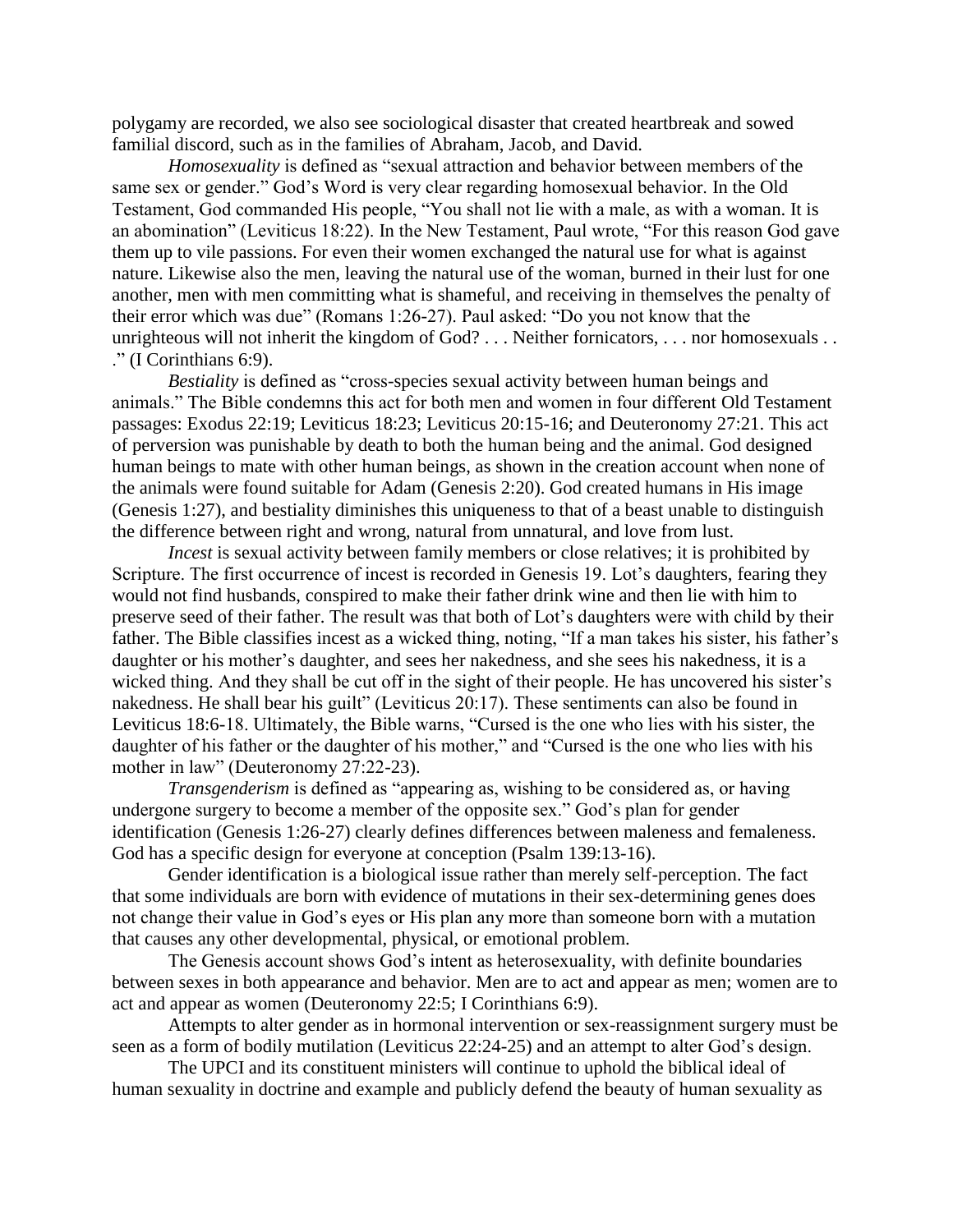polygamy are recorded, we also see sociological disaster that created heartbreak and sowed familial discord, such as in the families of Abraham, Jacob, and David.

*Homosexuality* is defined as "sexual attraction and behavior between members of the same sex or gender." God's Word is very clear regarding homosexual behavior. In the Old Testament, God commanded His people, "You shall not lie with a male, as with a woman. It is an abomination" (Leviticus 18:22). In the New Testament, Paul wrote, "For this reason God gave them up to vile passions. For even their women exchanged the natural use for what is against nature. Likewise also the men, leaving the natural use of the woman, burned in their lust for one another, men with men committing what is shameful, and receiving in themselves the penalty of their error which was due" (Romans 1:26-27). Paul asked: "Do you not know that the unrighteous will not inherit the kingdom of God? . . . Neither fornicators, . . . nor homosexuals . . ." (I Corinthians 6:9).

*Bestiality* is defined as "cross-species sexual activity between human beings and animals." The Bible condemns this act for both men and women in four different Old Testament passages: Exodus 22:19; Leviticus 18:23; Leviticus 20:15-16; and Deuteronomy 27:21. This act of perversion was punishable by death to both the human being and the animal. God designed human beings to mate with other human beings, as shown in the creation account when none of the animals were found suitable for Adam (Genesis 2:20). God created humans in His image (Genesis 1:27), and bestiality diminishes this uniqueness to that of a beast unable to distinguish the difference between right and wrong, natural from unnatural, and love from lust.

*Incest* is sexual activity between family members or close relatives; it is prohibited by Scripture. The first occurrence of incest is recorded in Genesis 19. Lot's daughters, fearing they would not find husbands, conspired to make their father drink wine and then lie with him to preserve seed of their father. The result was that both of Lot's daughters were with child by their father. The Bible classifies incest as a wicked thing, noting, "If a man takes his sister, his father's daughter or his mother's daughter, and sees her nakedness, and she sees his nakedness, it is a wicked thing. And they shall be cut off in the sight of their people. He has uncovered his sister's nakedness. He shall bear his guilt" (Leviticus 20:17). These sentiments can also be found in Leviticus 18:6-18. Ultimately, the Bible warns, "Cursed is the one who lies with his sister, the daughter of his father or the daughter of his mother," and "Cursed is the one who lies with his mother in law" (Deuteronomy 27:22-23).

*Transgenderism* is defined as "appearing as, wishing to be considered as, or having undergone surgery to become a member of the opposite sex." God's plan for gender identification (Genesis 1:26-27) clearly defines differences between maleness and femaleness. God has a specific design for everyone at conception (Psalm 139:13-16).

Gender identification is a biological issue rather than merely self-perception. The fact that some individuals are born with evidence of mutations in their sex-determining genes does not change their value in God's eyes or His plan any more than someone born with a mutation that causes any other developmental, physical, or emotional problem.

The Genesis account shows God's intent as heterosexuality, with definite boundaries between sexes in both appearance and behavior. Men are to act and appear as men; women are to act and appear as women (Deuteronomy 22:5; I Corinthians 6:9).

Attempts to alter gender as in hormonal intervention or sex-reassignment surgery must be seen as a form of bodily mutilation (Leviticus 22:24-25) and an attempt to alter God's design.

The UPCI and its constituent ministers will continue to uphold the biblical ideal of human sexuality in doctrine and example and publicly defend the beauty of human sexuality as